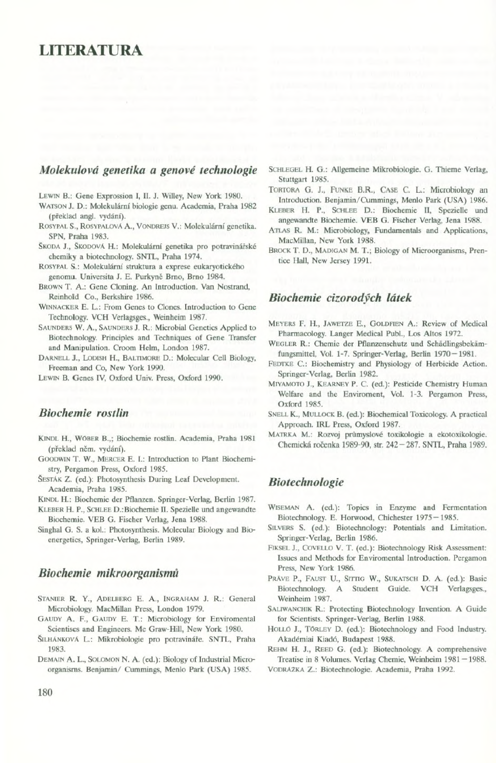# LITERATURA

### *Molekulová genetika a genové technologie*

LEWIN B.: Gene Exprossion I, II. J. Willey, New York 1980.

- Watson *}.* D.: Molekulární biologie genu. Academia, Praha 1982 (překlad angl. vydání).
- Rosypal S., RosypalovA A., VoNDREJS V.: Molekulární genetika. SPN, Praha 1983.
- Škopa J., Škopová H.: Molekulární genetika pro potravinářské chemiky a biotechnology. SNTL, Praha 1974.
- Rosypal S.: Molekulární struktura a exprese cukaryotického genomu. Universita J. E. Purkyné Brno, Brno 1984.
- Brown T. A.: Gene Cloning. An Introduction. Van Nostrand, Reinhold Co., Berkshire 1986.
- WiNNACKER E. L.: From Genes to Clones. Introduction to Gene Technology. VCH Verlagsges., Weinheim 1987.
- SAUNDERS W. A., SAUNDERS J. R.: Microbial Genetics Applied to Biotechnology. Principles and Techniques of Gene Transfer and Manipulation. Croom Helm, London 1987.

Darnell J., Lodish H., Baltimore D.: Molecular Cell Biology, Freeman and Co, New York 1990.

Lewin B. Genes IV, Oxford Univ. Press, Oxford 1990.

# *Biochemie rostlin*

- Kindl H., Wöber B.,; Biochemie rostlin. Academia, Praha 1981 (překlad něm. vydání).
- GOODWIN T. W., MERCER E. I.: Introduction to Plant Biochemistry, Pergamon Press, Oxford 1985.
- ŠESTÁK Z. (ed.): Photosynthesis During Leaf Development. Academia, Praha 1985.

Kindl H.: Biochemie der Pflanzen. Springer-Verlag, Berlin 1987.

- Kleber H. P., Schlee D.:Biochemie II. Spezielle und angewandte Biochemie. VEB G. Fischer Verlag, Jena 1988.
- Singhai G. S. a kol.: Photosynthesis. Molecular Biology and Bioenergetics, Springer-Verlag, Berlin 1989.

## *Biochemie mikroorganismů*

- Stanier R. Y., Adelberg E. A., Ingraham J. R.: General Microbiology. MacMillan Press, London 1979.
- GAUDY A. F., GAUDY E. T.: Microbiology for Enviromental Scientiscs and Engineers. Mc Graw-Hill, New York 1980.
- ŠilhAnkovA L.: Mikrobiologie pro potravináře. SNTL, Praha 1983.
- Demain A. L., Solomon N. A. (ed.): Biology of Industrial Microorganisms. Benjamin/ Cummings, Menlo Park (USA) 1985.
- SCHLEGEL H. G.: Allgemeine Mikrobiologie. G. Thieme Verlag, Stuttgart 1985.
- TORTORA G. J., FUNKE B.R., CASE C. L.: Microbiology an Introduction. Benjamin/Cummings, Menlo Park (USA) 1986.
- Kleber H. P., Schlee D.: Biochemie II, Spezielle und angewandte Biochemie. VEB G. Fischer Verlag, Jena 1988.
- Attas R. M.: Microbiology, Fundamentals and Applications, MacMillan, New York 1988.
- Brock T. D., Madigan M. T.; Biology of Microorganisms, Prentice Hall, New Jersey 1991.

#### *Biochemie cizorodých látek*

- Meyers F. H., Jawetze E., Goldfien A.: Review of Medical Pharmacology. Langer Medical Pubi., Los Altos 1972.
- WEGLER R.: Chemie der Pflanzenschutz und Schädlingsbekämfungsmittel, Vol. 1-7. Springer-Verlag, Berlin 1970 - 1981.
- FEDTKE C: Biochemistry and Physiology of Herbicide Action. Springer-Verlag, Berlin 1982.
- Miyamoto J., Kearney P. C. (ed.): Pesticide Chemistry Human Welfare and the Enviroment, Voi. 1-3. Pergamon Press, Oxford 1985.
- Snell K., Mullock B. (ed.): Biochemical Toxicology. A practical Approach. IRL Press, Oxford 1987.
- Matrka M.: Rozvoj průmyslové toxikologie a ekotoxikologie. Chemická ročenka 1989-90, str. 242-287. SNTL, Praha 1989.

# *Biotechnologie*

- Wiseman A. (ed.): Topics in Enzyme and Fermentation Biotechnology. E. Horwood, Chichester 1975 — 1985.
- Silvers S. (ed.): Biotechnology: Potentials and Limitation. Springer-Verlag, Berlin 1986.
- Piksel J., Covello V. T. (ed.): Biotechnology Risk Assessment: Issues and Methods for Enviromental Introduction. Pergamon Press, New York 1986.
- PRĂVE P., FAUST U., SITTIG W., SUKATSCH D. A. (ed.): Basic Biotechnology. A Student Guide. VCH Verlagsges., Weinheim 1987.
- SALIWANCHIK R.: Protecting Biotechnology Invention. A Guide for Scientists. Springer-Verlag, Berlin 1988.
- HOLLÓ J., TÖRLEY D. (ed.): Biotechnology and Food Industry. Akadémiai Kiadó, Budapest 1988.

REHM H. J., REED G. (ed.): Biotechnology. A comprehensive Treatise in 8 Volumes. Verlag Chemie, Weinheim 1981 — 1988. VodrAZka Z.: Biotechnologie. Academia, Praha 1992.

180